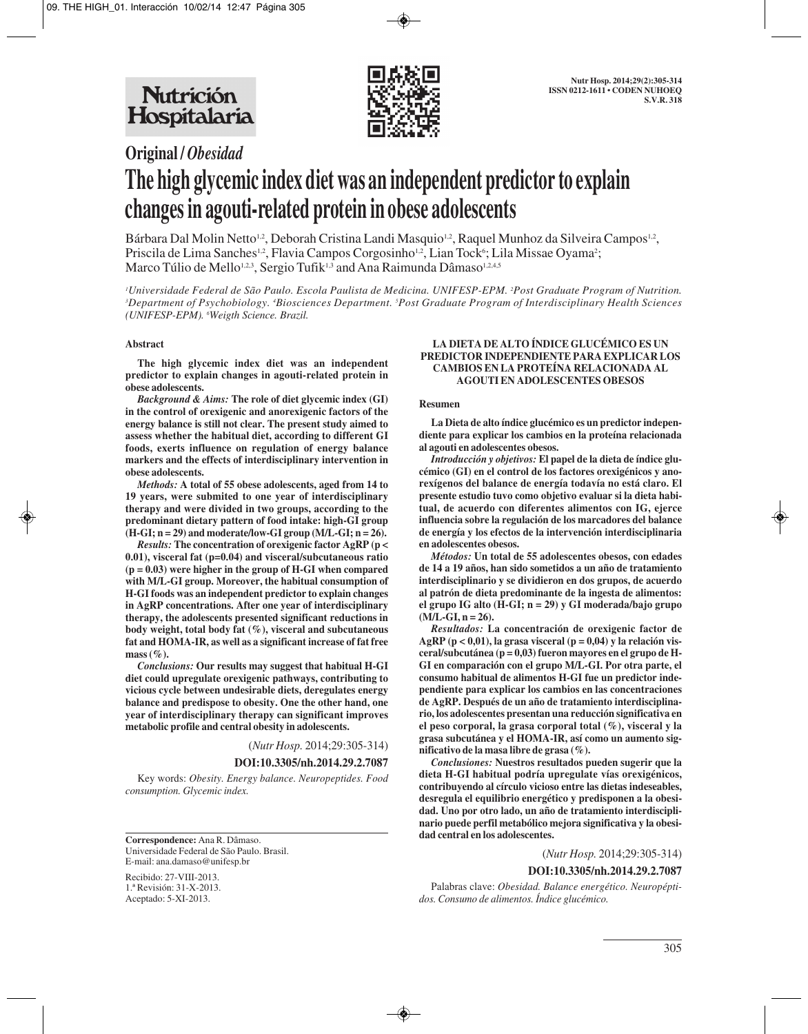

# **Original /** *Obesidad* **The high glycemic index diet was an independent predictor to explain changes in agouti-related protein in obese adolescents**

Bárbara Dal Molin Netto<sup>1,2</sup>, Deborah Cristina Landi Masquio<sup>1,2</sup>, Raquel Munhoz da Silveira Campos<sup>1,2</sup>, Priscila de Lima Sanches<sup>1,2</sup>, Flavia Campos Corgosinho<sup>1,2</sup>, Lian Tock<sup>6</sup>; Lila Missae Oyama<sup>2</sup>; Marco Túlio de Mello<sup>1,2,3</sup>, Sergio Tufik<sup>1,3</sup> and Ana Raimunda Dâmaso<sup>1,2,4,5</sup>

*1 Universidade Federal de São Paulo. Escola Paulista de Medicina. UNIFESP-EPM. 2 Post Graduate Program of Nutrition. 3 Department of Psychobiology. 4 Biosciences Department. 5 Post Graduate Program of Interdisciplinary Health Sciences (UNIFESP-EPM). 6 Weigth Science. Brazil.*

#### **Abstract**

**The high glycemic index diet was an independent predictor to explain changes in agouti-related protein in obese adolescents.**

*Background & Aims:* **The role of diet glycemic index (GI) in the control of orexigenic and anorexigenic factors of the energy balance is still not clear. The present study aimed to assess whether the habitual diet, according to different GI foods, exerts influence on regulation of energy balance markers and the effects of interdisciplinary intervention in obese adolescents.**

*Methods:* **A total of 55 obese adolescents, aged from 14 to 19 years, were submited to one year of interdisciplinary therapy and were divided in two groups, according to the predominant dietary pattern of food intake: high-GI group**  $(H-GI; n = 29)$  and moderate/low-GI group  $(M/L-GI; n = 26)$ .

*Results:* **The concentration of orexigenic factor AgRP (p < 0.01), visceral fat (p=0.04) and visceral/subcutaneous ratio (p = 0.03) were higher in the group of H-GI when compared with M/L-GI group. Moreover, the habitual consumption of H-GI foods was an independent predictor to explain changes in AgRP concentrations. After one year of interdisciplinary therapy, the adolescents presented significant reductions in body weight, total body fat (%), visceral and subcutaneous fat and HOMA-IR, as well as a significant increase of fat free mass (%).**

*Conclusions:* **Our results may suggest that habitual H-GI diet could upregulate orexigenic pathways, contributing to vicious cycle between undesirable diets, deregulates energy balance and predispose to obesity. One the other hand, one year of interdisciplinary therapy can significant improves metabolic profile and central obesity in adolescents.**

(*Nutr Hosp.* 2014;29:305-314)

#### **DOI:10.3305/nh.2014.29.2.7087**

Key words: *Obesity. Energy balance. Neuropeptides. Food consumption. Glycemic index.*

**Correspondence:** Ana R. Dâmaso. Universidade Federal de São Paulo. Brasil. E-mail: ana.damaso@unifesp.br

Recibido: 27-VIII-2013. 1.ª Revisión: 31-X-2013. Aceptado: 5-XI-2013.

#### **LA DIETA DE ALTO ÍNDICE GLUCÉMICO ES UN PREDICTOR INDEPENDIENTE PARA EXPLICAR LOS CAMBIOS EN LA PROTEÍNA RELACIONADA AL AGOUTI EN ADOLESCENTES OBESOS**

#### **Resumen**

**La Dieta de alto índice glucémico es un predictor independiente para explicar los cambios en la proteína relacionada al agouti en adolescentes obesos.**

*Introducción y objetivos:* **El papel de la dieta de índice glucémico (GI) en el control de los factores orexigénicos y anorexígenos del balance de energía todavía no está claro. El presente estudio tuvo como objetivo evaluar si la dieta habitual, de acuerdo con diferentes alimentos con IG, ejerce influencia sobre la regulación de los marcadores del balance de energía y los efectos de la intervención interdisciplinaria en adolescentes obesos.**

*Métodos:* **Un total de 55 adolescentes obesos, con edades de 14 a 19 años, han sido sometidos a un año de tratamiento interdisciplinario y se dividieron en dos grupos, de acuerdo al patrón de dieta predominante de la ingesta de alimentos: el grupo IG alto (H-GI; n = 29) y GI moderada/bajo grupo (M/L-GI, n = 26).**

*Resultados:* **La concentración de orexigenic factor de AgRP (p < 0,01), la grasa visceral (p = 0,04) y la relación visceral/subcutánea (p = 0,03) fueron mayores en el grupo de H-GI en comparación con el grupo M/L-GI. Por otra parte, el consumo habitual de alimentos H-GI fue un predictor independiente para explicar los cambios en las concentraciones de AgRP. Después de un año de tratamiento interdisciplinario, los adolescentes presentan una reducción significativa en el peso corporal, la grasa corporal total (%), visceral y la grasa subcutánea y el HOMA-IR, así como un aumento significativo de la masa libre de grasa (%).**

*Conclusiones:* **Nuestros resultados pueden sugerir que la dieta H-GI habitual podría upregulate vías orexigénicos, contribuyendo al círculo vicioso entre las dietas indeseables, desregula el equilibrio energético y predisponen a la obesidad. Uno por otro lado, un año de tratamiento interdisciplinario puede perfil metabólico mejora significativa y la obesidad central en los adolescentes.**

(*Nutr Hosp.* 2014;29:305-314)

#### **DOI:10.3305/nh.2014.29.2.7087**

Palabras clave: *Obesidad. Balance energético. Neuropéptidos. Consumo de alimentos. Índice glucémico.*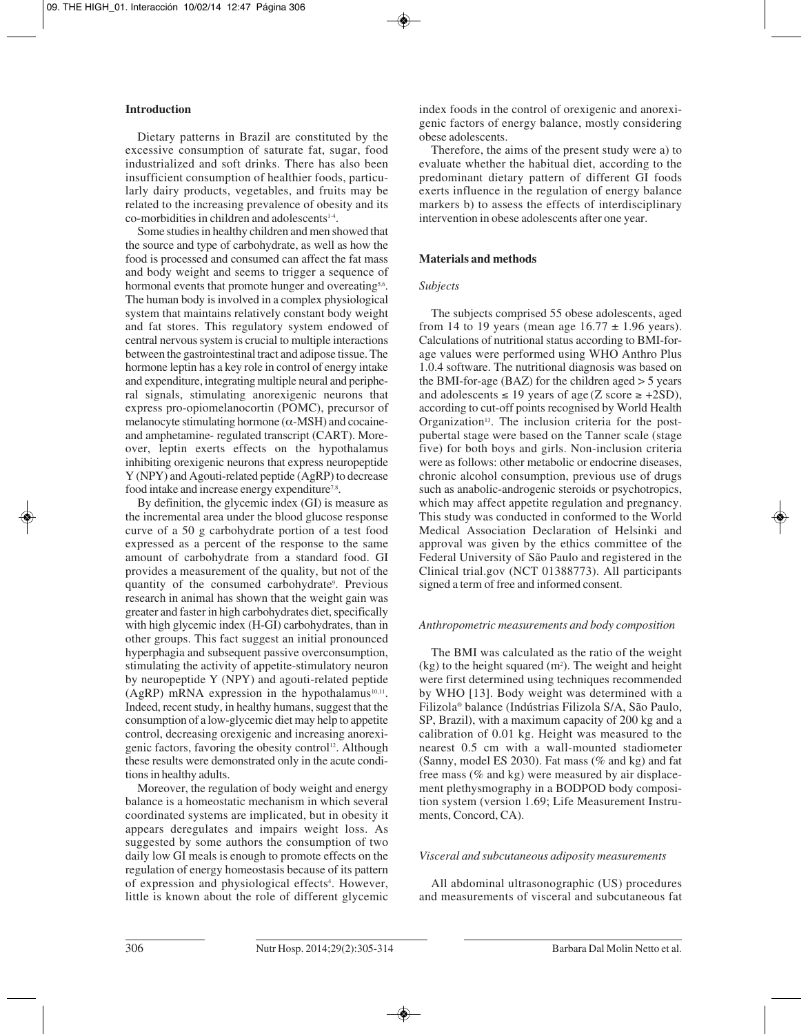## **Introduction**

Dietary patterns in Brazil are constituted by the excessive consumption of saturate fat, sugar, food industrialized and soft drinks. There has also been insufficient consumption of healthier foods, particularly dairy products, vegetables, and fruits may be related to the increasing prevalence of obesity and its  $co$ -morbidities in children and adolescents $14$ .

Some studies in healthy children and men showed that the source and type of carbohydrate, as well as how the food is processed and consumed can affect the fat mass and body weight and seems to trigger a sequence of hormonal events that promote hunger and overeating<sup>5,6</sup>. The human body is involved in a complex physiological system that maintains relatively constant body weight and fat stores. This regulatory system endowed of central nervous system is crucial to multiple interactions between the gastrointestinal tract and adipose tissue. The hormone leptin has a key role in control of energy intake and expenditure, integrating multiple neural and periphe ral signals, stimulating anorexigenic neurons that express pro-opiomelanocortin (POMC), precursor of melanocyte stimulating hormone  $(\alpha$ -MSH) and cocaineand amphetamine- regulated transcript (CART). Moreover, leptin exerts effects on the hypothalamus inhibiting orexigenic neurons that express neuropeptide Y (NPY) and Agouti-related peptide (AgRP) to decrease food intake and increase energy expenditure<sup>7,8</sup>.

By definition, the glycemic index (GI) is measure as the incremental area under the blood glucose response curve of a 50 g carbohydrate portion of a test food expressed as a percent of the response to the same amount of carbohydrate from a standard food. GI provides a measurement of the quality, but not of the quantity of the consumed carbohydrate<sup>9</sup>. Previous research in animal has shown that the weight gain was greater and faster in high carbohydrates diet, specifically with high glycemic index (H-GI) carbohydrates, than in other groups. This fact suggest an initial pronounced hyperphagia and subsequent passive overconsumption, stimulating the activity of appetite-stimulatory neuron by neuropeptide Y (NPY) and agouti-related peptide (AgRP) mRNA expression in the hypothalamus<sup>10,11</sup>. Indeed, recent study, in healthy humans, suggest that the consumption of a low-glycemic diet may help to appetite control, decreasing orexigenic and increasing anorexigenic factors, favoring the obesity control<sup>12</sup>. Although these results were demonstrated only in the acute conditions in healthy adults.

Moreover, the regulation of body weight and energy balance is a homeostatic mechanism in which several coordinated systems are implicated, but in obesity it appears deregulates and impairs weight loss. As suggested by some authors the consumption of two daily low GI meals is enough to promote effects on the regulation of energy homeostasis because of its pattern of expression and physiological effects<sup>4</sup>. However, little is known about the role of different glycemic

index foods in the control of orexigenic and anorexigenic factors of energy balance, mostly considering obese adolescents.

Therefore, the aims of the present study were a) to evaluate whether the habitual diet, according to the predominant dietary pattern of different GI foods exerts influence in the regulation of energy balance markers b) to assess the effects of interdisciplinary intervention in obese adolescents after one year.

## **Materials and methods**

## *Subjects*

The subjects comprised 55 obese adolescents, aged from 14 to 19 years (mean age  $16.77 \pm 1.96$  years). Calculations of nutritional status according to BMI-forage values were performed using WHO Anthro Plus 1.0.4 software. The nutritional diagnosis was based on the BMI-for-age (BAZ) for the children aged > 5 years and adolescents  $\leq 19$  years of age (Z score  $\geq +2SD$ ), according to cut-off points recognised by World Health Organization<sup>13</sup>. The inclusion criteria for the postpubertal stage were based on the Tanner scale (stage five) for both boys and girls. Non-inclusion criteria were as follows: other metabolic or endocrine diseases, chronic alcohol consumption, previous use of drugs such as anabolic-androgenic steroids or psychotropics, which may affect appetite regulation and pregnancy. This study was conducted in conformed to the World Medical Association Declaration of Helsinki and approval was given by the ethics committee of the Federal University of São Paulo and registered in the Clinical trial.gov (NCT 01388773). All participants signed a term of free and informed consent.

## *Anthropometric measurements and body composition*

The BMI was calculated as the ratio of the weight  $(kg)$  to the height squared  $(m<sup>2</sup>)$ . The weight and height were first determined using techniques recommended by WHO [13]. Body weight was determined with a Filizola® balance (Indústrias Filizola S/A, São Paulo, SP, Brazil), with a maximum capacity of 200 kg and a calibration of 0.01 kg. Height was measured to the nearest 0.5 cm with a wall-mounted stadiometer (Sanny, model ES 2030). Fat mass (% and kg) and fat free mass (% and kg) were measured by air displacement plethysmography in a BODPOD body composition system (version 1.69; Life Measurement Instruments, Concord, CA).

## *Visceral and subcutaneous adiposity measurements*

All abdominal ultrasonographic (US) procedures and measurements of visceral and subcutaneous fat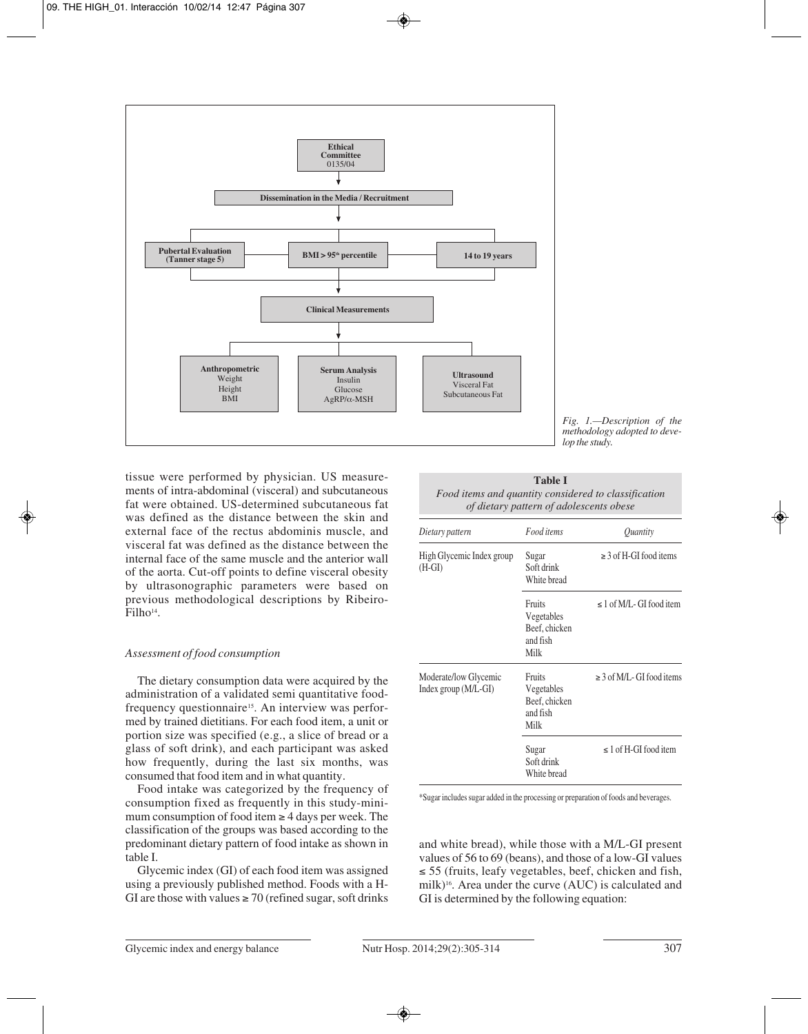

*Fig. 1.—Description of the methodology adopted to develop the study.*

tissue were performed by physician. US measurements of intra-abdominal (visceral) and subcutaneous fat were obtained. US-determined subcutaneous fat was defined as the distance between the skin and external face of the rectus abdominis muscle, and visceral fat was defined as the distance between the internal face of the same muscle and the anterior wall of the aorta. Cut-off points to define visceral obesity by ultrasonographic parameters were based on previous methodological descriptions by Ribeiro-Filho<sup>14</sup>.

#### *Assessment of food consumption*

The dietary consumption data were acquired by the administration of a validated semi quantitative foodfrequency questionnaire<sup>15</sup>. An interview was performed by trained dietitians. For each food item, a unit or portion size was specified (e.g., a slice of bread or a glass of soft drink), and each participant was asked how frequently, during the last six months, was consumed that food item and in what quantity.

Food intake was categorized by the frequency of consumption fixed as frequently in this study-minimum consumption of food item  $\geq 4$  days per week. The classification of the groups was based according to the predominant dietary pattern of food intake as shown in table I.

Glycemic index (GI) of each food item was assigned using a previously published method. Foods with a H-GI are those with values  $\geq$  70 (refined sugar, soft drinks

| <b>Table I</b>                                       |
|------------------------------------------------------|
| Food items and quantity considered to classification |
| of dietary pattern of adolescents obese              |

| Dietary pattern                                        | Food items                                                | Quantity                        |  |
|--------------------------------------------------------|-----------------------------------------------------------|---------------------------------|--|
| High Glycemic Index group<br>$(H-GI)$                  | Sugar<br>Soft drink<br>White bread                        | $\geq$ 3 of H-GI food items     |  |
|                                                        | Fruits<br>Vegetables<br>Beef, chicken<br>and fish<br>Milk | $\leq 1$ of M/L - GI food item  |  |
| Moderate/low Glycemic<br>Index group $(M/L\text{-}GI)$ | Fruits<br>Vegetables<br>Beef, chicken<br>and fish<br>Milk | $\geq$ 3 of M/L - GI food items |  |
|                                                        | Sugar<br>Soft drink<br>White bread                        | $\leq 1$ of H-GI food item      |  |

\*Sugar includes sugar added in the processing or preparation of foods and beverages.

and white bread), while those with a M/L-GI present values of 56 to 69 (beans), and those of a low-GI values ≤ 55 (fruits, leafy vegetables, beef, chicken and fish, milk)16. Area under the curve (AUC) is calculated and GI is determined by the following equation: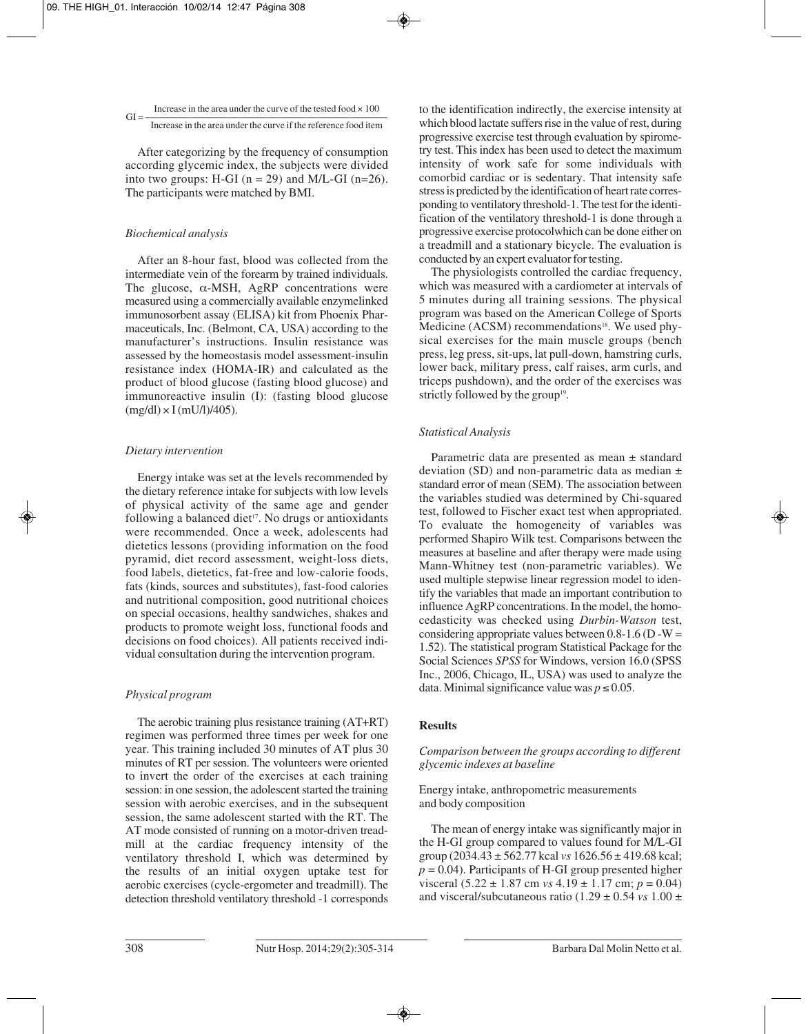## Increase in the area under the curve of the tested food  $\times 100$

## $GI = \frac{1}{\text{Increase in the area under the curve if the reference food item}}$

After categorizing by the frequency of consumption according glycemic index, the subjects were divided into two groups: H-GI ( $n = 29$ ) and M/L-GI ( $n=26$ ). The participants were matched by BMI.

#### *Biochemical analysis*

After an 8-hour fast, blood was collected from the intermediate vein of the forearm by trained individuals. The glucose,  $\alpha$ -MSH, AgRP concentrations were measured using a commercially available enzymelinked immunosorbent assay (ELISA) kit from Phoenix Pharmaceuticals, Inc. (Belmont, CA, USA) according to the manufacturer's instructions. Insulin resistance was assessed by the homeostasis model assessment-insulin resistance index (HOMA-IR) and calculated as the product of blood glucose (fasting blood glucose) and immunoreactive insulin (I): (fasting blood glucose  $(mg/dl) \times I$  (mU/l)/405).

#### *Dietary intervention*

Energy intake was set at the levels recommended by the dietary reference intake for subjects with low levels of physical activity of the same age and gender following a balanced diet<sup>17</sup>. No drugs or antioxidants were recommended. Once a week, adolescents had dietetics lessons (providing information on the food pyramid, diet record assessment, weight-loss diets, food labels, dietetics, fat-free and low-calorie foods, fats (kinds, sources and substitutes), fast-food calories and nutritional composition, good nutritional choices on special occasions, healthy sandwiches, shakes and products to promote weight loss, functional foods and decisions on food choices). All patients received individual consultation during the intervention program.

#### *Physical program*

The aerobic training plus resistance training (AT+RT) regimen was performed three times per week for one year. This training included 30 minutes of AT plus 30 minutes of RT per session. The volunteers were oriented to invert the order of the exercises at each training session: in one session, the adolescent started the training session with aerobic exercises, and in the subsequent session, the same adolescent started with the RT. The AT mode consisted of running on a motor-driven treadmill at the cardiac frequency intensity of the ventilatory threshold I, which was determined by the results of an initial oxygen uptake test for aerobic exercises (cycle-ergometer and treadmill). The detection threshold ventilatory threshold -1 corresponds

to the identification indirectly, the exercise intensity at which blood lactate suffers rise in the value of rest, during progressive exercise test through evaluation by spirome try test. This index has been used to detect the maximum intensity of work safe for some individuals with comorbid cardiac or is sedentary. That intensity safe stress is predicted by the identification of heart rate corres ponding to ventilatory threshold-1. The test for the identification of the ventilatory threshold-1 is done through a progressive exercise protocolwhich can be done either on a treadmill and a stationary bicycle. The evaluation is conducted by an expert evaluator for testing.

The physiologists controlled the cardiac frequency, which was measured with a cardiometer at intervals of 5 minutes during all training sessions. The physical program was based on the American College of Sports Medicine (ACSM) recommendations<sup>18</sup>. We used physical exercises for the main muscle groups (bench press, leg press, sit-ups, lat pull-down, hamstring curls, lower back, military press, calf raises, arm curls, and triceps pushdown), and the order of the exercises was strictly followed by the group<sup>19</sup>.

#### *Statistical Analysis*

Parametric data are presented as mean ± standard deviation (SD) and non-parametric data as median  $\pm$ standard error of mean (SEM). The association between the variables studied was determined by Chi-squared test, followed to Fischer exact test when appropriated. To evaluate the homogeneity of variables was performed Shapiro Wilk test. Comparisons between the measures at baseline and after therapy were made using Mann-Whitney test (non-parametric variables). We used multiple stepwise linear regression model to identify the variables that made an important contribution to influence AgRP concentrations. In the model, the homocedasticity was checked using *Durbin-Watson* test, considering appropriate values between  $0.8-1.6$  (D -W = 1.52). The statistical program Statistical Package for the Social Sciences *SPSS* for Windows, version 16.0 (SPSS Inc., 2006, Chicago, IL, USA) was used to analyze the data. Minimal significance value was  $p \le 0.05$ .

#### **Results**

#### *Comparison between the groups according to different glycemic indexes at baseline*

#### Energy intake, anthropometric measurements and body composition

The mean of energy intake was significantly major in the H-GI group compared to values found for M/L-GI group (2034.43 ± 562.77 kcal *vs* 1626.56 ± 419.68 kcal;  $p = 0.04$ ). Participants of H-GI group presented higher visceral  $(5.22 \pm 1.87 \text{ cm} \text{ vs } 4.19 \pm 1.17 \text{ cm}; p = 0.04)$ and visceral/subcutaneous ratio (1.29 ± 0.54 *vs* 1.00 ±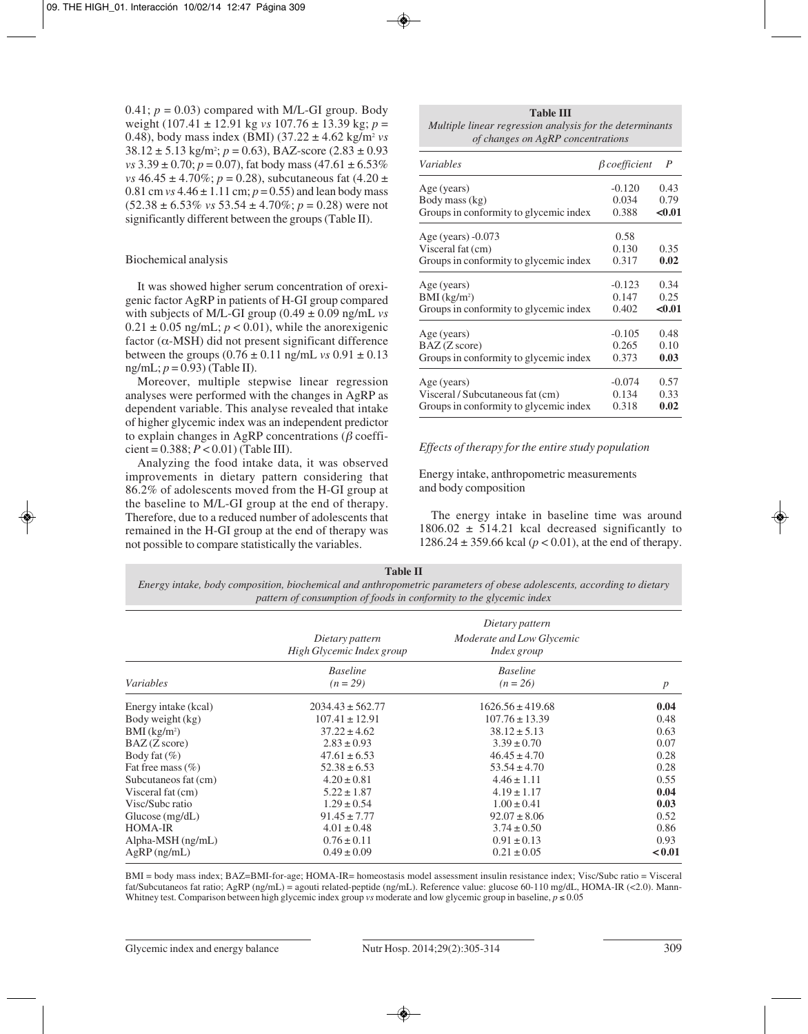0.41;  $p = 0.03$ ) compared with M/L-GI group. Body weight (107.41 ± 12.91 kg *vs* 107.76 ± 13.39 kg; *p* = 0.48), body mass index (BMI)  $(37.22 \pm 4.62 \text{ kg/m}^2 \text{ vs }$  $38.12 \pm 5.13$  kg/m<sup>2</sup>;  $p = 0.63$ ), BAZ-score  $(2.83 \pm 0.93)$ *vs*  $3.39 \pm 0.70$ ;  $p = 0.07$ ), fat body mass  $(47.61 \pm 6.53\%)$ *vs*  $46.45 \pm 4.70\%$ ; *p* = 0.28), subcutaneous fat  $(4.20 \pm$ 0.81 cm  $vs$  4.46  $\pm$  1.11 cm;  $p = 0.55$ ) and lean body mass  $(52.38 \pm 6.53\% \text{ vs } 53.54 \pm 4.70\%; p = 0.28)$  were not significantly different between the groups (Table II).

#### Biochemical analysis

It was showed higher serum concentration of orexigenic factor AgRP in patients of H-GI group compared with subjects of M/L-GI group  $(0.49 \pm 0.09 \text{ ng/mL} \text{ vs }$  $0.21 \pm 0.05$  ng/mL;  $p < 0.01$ ), while the anorexigenic factor  $(\alpha$ -MSH) did not present significant difference between the groups  $(0.76 \pm 0.11 \text{ ng/mL}$  *vs*  $0.91 \pm 0.13$ ng/mL; *p* = 0.93) (Table II).

Moreover, multiple stepwise linear regression analyses were performed with the changes in AgRP as dependent variable. This analyse revealed that intake of higher glycemic index was an independent predictor to explain changes in AgRP concentrations ( $\beta$  coeffi $cient = 0.388$ ;  $P < 0.01$ ) (Table III).

Analyzing the food intake data, it was observed improvements in dietary pattern considering that 86.2% of adolescents moved from the H-GI group at the baseline to M/L-GI group at the end of therapy. Therefore, due to a reduced number of adolescents that remained in the H-GI group at the end of therapy was not possible to compare statistically the variables.

| <b>Table III</b>                                         |
|----------------------------------------------------------|
| Multiple linear regression analysis for the determinants |
| of changes on AgRP concentrations                        |

| <i>Variables</i>                       | $\beta$ coefficient | $\boldsymbol{P}$ |
|----------------------------------------|---------------------|------------------|
| Age (years)                            | $-0.120$            | 0.43             |
| Body mass (kg)                         | 0.034               | 0.79             |
| Groups in conformity to glycemic index | 0.388               | < 0.01           |
| Age (years) $-0.073$                   | 0.58                |                  |
| Visceral fat (cm)                      | 0.130               | 0.35             |
| Groups in conformity to glycemic index | 0.317               | 0.02             |
| Age (years)                            | $-0.123$            | 0.34             |
| $BMI$ (kg/m <sup>2</sup> )             | 0.147               | 0.25             |
| Groups in conformity to glycemic index | 0.402               | < 0.01           |
| Age (years)                            | $-0.105$            | 0.48             |
| $BAZ$ (Z score)                        | 0.265               | 0.10             |
| Groups in conformity to glycemic index | 0.373               | 0.03             |
| Age (years)                            | $-0.074$            | 0.57             |
| Visceral / Subcutaneous fat (cm)       | 0.134               | 0.33             |
| Groups in conformity to glycemic index | 0.318               | 0.02             |

#### *Effects of therapy for the entire study population*

Energy intake, anthropometric measurements and body composition

The energy intake in baseline time was around  $1806.02 \pm 514.21$  kcal decreased significantly to 1286.24  $\pm$  359.66 kcal ( $p < 0.01$ ), at the end of therapy.

#### **Table II**

*Energy intake, body composition, biochemical and anthropometric parameters of obese adolescents, according to dietary pattern of consumption of foods in conformity to the glycemic index*

|                          | Dietary pattern<br>High Glycemic Index group | Dietary pattern<br>Moderate and Low Glycemic<br>Index group |                  |
|--------------------------|----------------------------------------------|-------------------------------------------------------------|------------------|
| Variables                | <b>Baseline</b><br>$(n = 29)$                | <b>Baseline</b><br>$(n = 26)$                               | $\boldsymbol{p}$ |
| Energy intake (kcal)     | $2034.43 \pm 562.77$                         | $1626.56 \pm 419.68$                                        | 0.04             |
| Body weight (kg)         | $107.41 \pm 12.91$                           | $107.76 \pm 13.39$                                          | 0.48             |
| BMI (kg/m <sup>2</sup> ) | $37.22 \pm 4.62$                             | $38.12 \pm 5.13$                                            | 0.63             |
| $BAZ$ ( $Z$ score)       | $2.83 \pm 0.93$                              | $3.39 \pm 0.70$                                             | 0.07             |
| Body fat $(\%)$          | $47.61 \pm 6.53$                             | $46.45 \pm 4.70$                                            | 0.28             |
| Fat free mass $(\% )$    | $52.38 \pm 6.53$                             | $53.54 \pm 4.70$                                            | 0.28             |
| Subcutaneos fat (cm)     | $4.20 \pm 0.81$                              | $4.46 \pm 1.11$                                             | 0.55             |
| Visceral fat (cm)        | $5.22 \pm 1.87$                              | $4.19 \pm 1.17$                                             | 0.04             |
| Visc/Subc ratio          | $1.29 \pm 0.54$                              | $1.00 \pm 0.41$                                             | 0.03             |
| Glucose $(mg/dL)$        | $91.45 \pm 7.77$                             | $92.07 \pm 8.06$                                            | 0.52             |
| <b>HOMA-IR</b>           | $4.01 \pm 0.48$                              | $3.74 \pm 0.50$                                             | 0.86             |
| $Alpha-MSH$ (ng/mL)      | $0.76 \pm 0.11$                              | $0.91 \pm 0.13$                                             | 0.93             |
| $AgRP$ (ng/mL)           | $0.49 \pm 0.09$                              | $0.21 \pm 0.05$                                             | < 0.01           |

BMI = body mass index; BAZ=BMI-for-age; HOMA-IR= homeostasis model assessment insulin resistance index; Visc/Subc ratio = Visceral fat/Subcutaneos fat ratio; AgRP (ng/mL) = agouti related-peptide (ng/mL). Reference value: glucose 60-110 mg/dL, HOMA-IR (<2.0). Mann-Whitney test. Comparison between high glycemic index group *vs* moderate and low glycemic group in baseline,  $p \le 0.05$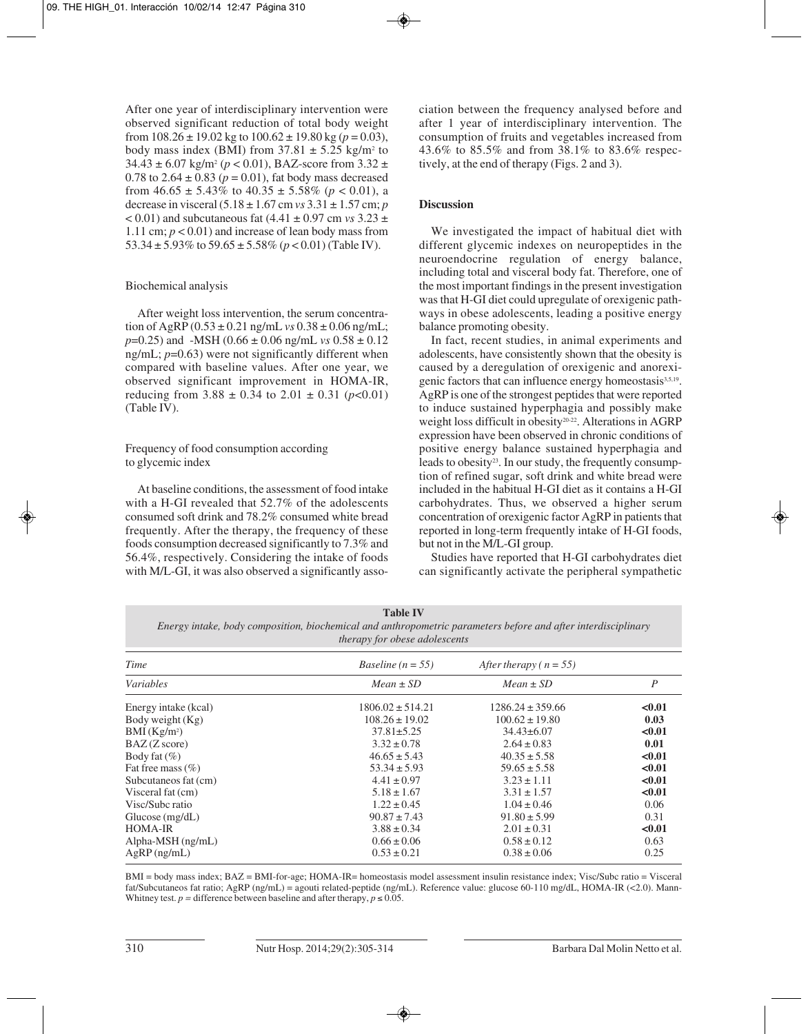After one year of interdisciplinary intervention were observed significant reduction of total body weight from  $108.26 \pm 19.02$  kg to  $100.62 \pm 19.80$  kg ( $p = 0.03$ ), body mass index (BMI) from  $37.81 \pm 5.25$  kg/m<sup>2</sup> to  $34.43 \pm 6.07$  kg/m<sup>2</sup> ( $p < 0.01$ ), BAZ-score from  $3.32 \pm$ 0.78 to  $2.64 \pm 0.83$  ( $p = 0.01$ ), fat body mass decreased from  $46.65 \pm 5.43\%$  to  $40.35 \pm 5.58\%$  ( $p < 0.01$ ), a decrease in visceral (5.18 ± 1.67 cm *vs* 3.31 ± 1.57 cm; *p*  $< 0.01$ ) and subcutaneous fat  $(4.41 \pm 0.97 \text{ cm} \text{ vs } 3.23 \pm 1.0 \text{ s})$ 1.11 cm;  $p < 0.01$ ) and increase of lean body mass from 53.34  $\pm$  5.93% to 59.65  $\pm$  5.58% ( $p$  < 0.01) (Table IV).

#### Biochemical analysis

After weight loss intervention, the serum concentration of AgRP  $(0.53 \pm 0.21 \text{ ng/mL}$  *vs*  $0.38 \pm 0.06 \text{ ng/mL}$ ; *p*=0.25) and -MSH (0.66 ± 0.06 ng/mL *vs* 0.58 ± 0.12 ng/mL;  $p=0.63$ ) were not significantly different when compared with baseline values. After one year, we observed significant improvement in HOMA-IR, reducing from  $3.88 \pm 0.34$  to  $2.01 \pm 0.31$  ( $p < 0.01$ ) (Table IV).

## Frequency of food consumption according to glycemic index

At baseline conditions, the assessment of food intake with a H-GI revealed that 52.7% of the adolescents consumed soft drink and 78.2% consumed white bread frequently. After the therapy, the frequency of these foods consumption decreased significantly to 7.3% and 56.4%, respectively. Considering the intake of foods with M/L-GI, it was also observed a significantly association between the frequency analysed before and after 1 year of interdisciplinary intervention. The consumption of fruits and vegetables increased from 43.6% to 85.5% and from 38.1% to 83.6% respectively, at the end of therapy (Figs. 2 and 3).

## **Discussion**

We investigated the impact of habitual diet with different glycemic indexes on neuropeptides in the neuroendocrine regulation of energy balance, including total and visceral body fat. Therefore, one of the most important findings in the present investigation was that H-GI diet could upregulate of orexigenic pathways in obese adolescents, leading a positive energy balance promoting obesity.

In fact, recent studies, in animal experiments and adolescents, have consistently shown that the obesity is caused by a deregulation of orexigenic and anorexigenic factors that can influence energy homeostasis<sup>3,5,19</sup>. AgRP is one of the strongest peptides that were reported to induce sustained hyperphagia and possibly make weight loss difficult in obesity<sup>20-22</sup>. Alterations in AGRP expression have been observed in chronic conditions of positive energy balance sustained hyperphagia and leads to obesity<sup>23</sup>. In our study, the frequently consumption of refined sugar, soft drink and white bread were included in the habitual H-GI diet as it contains a H-GI carbohydrates. Thus, we observed a higher serum concentration of orexigenic factor AgRP in patients that reported in long-term frequently intake of H-GI foods, but not in the M/L-GI group.

Studies have reported that H-GI carbohydrates diet can significantly activate the peripheral sympathetic

| <b>Table IV</b>                                                                                               |  |  |
|---------------------------------------------------------------------------------------------------------------|--|--|
| Energy intake, body composition, biochemical and anthropometric parameters before and after interdisciplinary |  |  |
| <i>therapy for obese adolescents</i>                                                                          |  |  |

| Time                    | <i>Baseline</i> ( $n = 55$ ) | After therapy ( $n = 55$ ) |                |
|-------------------------|------------------------------|----------------------------|----------------|
| <i>Variables</i>        | $Mean \pm SD$                | $Mean \pm SD$              | $\overline{P}$ |
| Energy intake (kcal)    | $1806.02 \pm 514.21$         | $1286.24 \pm 359.66$       | < 0.01         |
| Body weight $(Kg)$      | $108.26 \pm 19.02$           | $100.62 \pm 19.80$         | 0.03           |
| BMI(Kg/m <sup>2</sup> ) | $37.81 \pm 5.25$             | $34.43\pm 6.07$            | < 0.01         |
| $BAZ$ (Z score)         | $3.32 \pm 0.78$              | $2.64 \pm 0.83$            | 0.01           |
| Body fat $(\% )$        | $46.65 \pm 5.43$             | $40.35 \pm 5.58$           | < 0.01         |
| Fat free mass $(\% )$   | $53.34 \pm 5.93$             | $59.65 \pm 5.58$           | < 0.01         |
| Subcutaneos fat (cm)    | $4.41 \pm 0.97$              | $3.23 \pm 1.11$            | < 0.01         |
| Visceral fat (cm)       | $5.18 \pm 1.67$              | $3.31 \pm 1.57$            | < 0.01         |
| Visc/Subc ratio         | $1.22 \pm 0.45$              | $1.04 \pm 0.46$            | 0.06           |
| Glucose $(mg/dL)$       | $90.87 \pm 7.43$             | $91.80 \pm 5.99$           | 0.31           |
| <b>HOMA-IR</b>          | $3.88 \pm 0.34$              | $2.01 \pm 0.31$            | < 0.01         |
| $Alpha-MSH$ (ng/mL)     | $0.66 \pm 0.06$              | $0.58 \pm 0.12$            | 0.63           |
| $AgRP$ (ng/mL)          | $0.53 \pm 0.21$              | $0.38 \pm 0.06$            | 0.25           |

BMI = body mass index; BAZ = BMI-for-age; HOMA-IR= homeostasis model assessment insulin resistance index; Visc/Subc ratio = Visceral fat/Subcutaneos fat ratio; AgRP (ng/mL) = agouti related-peptide (ng/mL). Reference value: glucose 60-110 mg/dL, HOMA-IR (<2.0). Mann-Whitney test.  $p =$  difference between baseline and after therapy,  $p \le 0.05$ .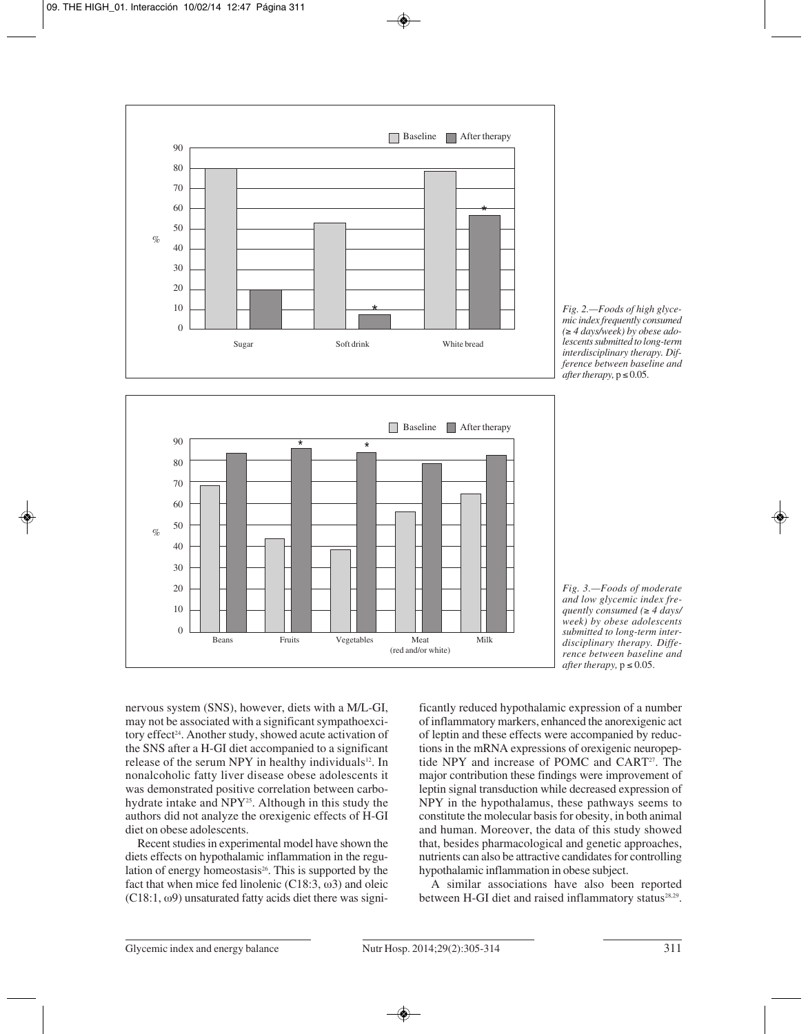





*Fig. 3.—Foods of moderate and low glycemic index frequently consumed (*≥ *4 days/ week) by obese adolescents submitted to long-term interdisciplinary therapy. Difference between baseline and*  $after$  therapy,  $p \leq 0.05$ .

nervous system (SNS), however, diets with a M/L-GI, may not be associated with a significant sympathoexcitory effect<sup>24</sup>. Another study, showed acute activation of the SNS after a H-GI diet accompanied to a significant release of the serum NPY in healthy individuals<sup>12</sup>. In nonalcoholic fatty liver disease obese adolescents it was demonstrated positive correlation between carbohydrate intake and NPY25. Although in this study the authors did not analyze the orexigenic effects of H-GI diet on obese adolescents.

Recent studies in experimental model have shown the diets effects on hypothalamic inflammation in the regulation of energy homeostasis<sup>26</sup>. This is supported by the fact that when mice fed linolenic  $(C18:3, \omega3)$  and oleic (C18:1,  $\omega$ 9) unsaturated fatty acids diet there was significantly reduced hypothalamic expression of a number of inflammatory markers, enhanced the anorexigenic act of leptin and these effects were accompanied by reductions in the mRNA expressions of orexigenic neuropeptide NPY and increase of POMC and CART27. The major contribution these findings were improvement of leptin signal transduction while decreased expression of NPY in the hypothalamus, these pathways seems to constitute the molecular basis for obesity, in both animal and human. Moreover, the data of this study showed that, besides pharmacological and genetic approaches, nutrients can also be attractive candidates for controlling hypothalamic inflammation in obese subject.

A similar associations have also been reported between H-GI diet and raised inflammatory status<sup>28,29</sup>.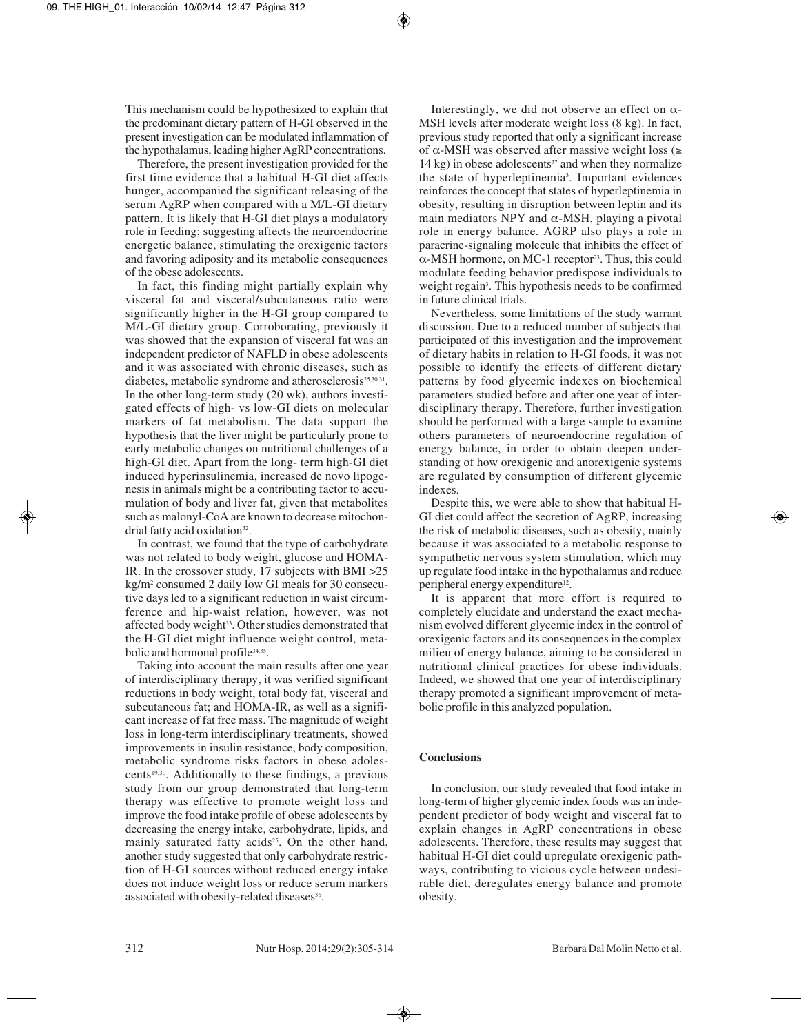This mechanism could be hypothesized to explain that the predominant dietary pattern of H-GI observed in the present investigation can be modulated inflammation of the hypothalamus, leading higher AgRP concentrations.

Therefore, the present investigation provided for the first time evidence that a habitual H-GI diet affects hunger, accompanied the significant releasing of the serum AgRP when compared with a M/L-GI dietary pattern. It is likely that H-GI diet plays a modulatory role in feeding; suggesting affects the neuroendocrine energetic balance, stimulating the orexigenic factors and favoring adiposity and its metabolic consequences of the obese adolescents.

In fact, this finding might partially explain why visceral fat and visceral/subcutaneous ratio were significantly higher in the H-GI group compared to M/L-GI dietary group. Corroborating, previously it was showed that the expansion of visceral fat was an independent predictor of NAFLD in obese adolescents and it was associated with chronic diseases, such as diabetes, metabolic syndrome and atherosclerosis<sup>25,30,31</sup>. In the other long-term study (20 wk), authors investigated effects of high- vs low-GI diets on molecular markers of fat metabolism. The data support the hypothesis that the liver might be particularly prone to early metabolic changes on nutritional challenges of a high-GI diet. Apart from the long- term high-GI diet induced hyperinsulinemia, increased de novo lipogenesis in animals might be a contributing factor to accumulation of body and liver fat, given that metabolites such as malonyl-CoA are known to decrease mitochondrial fatty acid oxidation<sup>32</sup>.

In contrast, we found that the type of carbohydrate was not related to body weight, glucose and HOMA-IR. In the crossover study, 17 subjects with BMI >25 kg/m2 consumed 2 daily low GI meals for 30 consecutive days led to a significant reduction in waist circumference and hip-waist relation, however, was not affected body weight<sup>33</sup>. Other studies demonstrated that the H-GI diet might influence weight control, metabolic and hormonal profile<sup>34,35</sup>.

Taking into account the main results after one year of interdisciplinary therapy, it was verified significant reductions in body weight, total body fat, visceral and subcutaneous fat; and HOMA-IR, as well as a significant increase of fat free mass. The magnitude of weight loss in long-term interdisciplinary treatments, showed improvements in insulin resistance, body composition, metabolic syndrome risks factors in obese adolescents19,30. Additionally to these findings, a previous study from our group demonstrated that long-term therapy was effective to promote weight loss and improve the food intake profile of obese adolescents by decreasing the energy intake, carbohydrate, lipids, and mainly saturated fatty acids<sup>25</sup>. On the other hand, another study suggested that only carbohydrate restriction of H-GI sources without reduced energy intake does not induce weight loss or reduce serum markers associated with obesity-related diseases<sup>36</sup>.

Interestingly, we did not observe an effect on  $\alpha$ -MSH levels after moderate weight loss (8 kg). In fact, previous study reported that only a significant increase of α-MSH was observed after massive weight loss (≥  $14$  kg) in obese adolescents<sup>37</sup> and when they normalize the state of hyperleptinemia<sup>3</sup>. Important evidences reinforces the concept that states of hyperleptinemia in obesity, resulting in disruption between leptin and its main mediators NPY and  $\alpha$ -MSH, playing a pivotal role in energy balance. AGRP also plays a role in paracrine-signaling molecule that inhibits the effect of  $\alpha$ -MSH hormone, on MC-1 receptor<sup>23</sup>. Thus, this could modulate feeding behavior predispose individuals to weight regain<sup>3</sup>. This hypothesis needs to be confirmed in future clinical trials.

Nevertheless, some limitations of the study warrant discussion. Due to a reduced number of subjects that participated of this investigation and the improvement of dietary habits in relation to H-GI foods, it was not possible to identify the effects of different dietary patterns by food glycemic indexes on biochemical parameters studied before and after one year of interdisciplinary therapy. Therefore, further investigation should be performed with a large sample to examine others parameters of neuroendocrine regulation of energy balance, in order to obtain deepen understanding of how orexigenic and anorexigenic systems are regulated by consumption of different glycemic indexes.

Despite this, we were able to show that habitual H-GI diet could affect the secretion of AgRP, increasing the risk of metabolic diseases, such as obesity, mainly because it was associated to a metabolic response to sympathetic nervous system stimulation, which may up regulate food intake in the hypothalamus and reduce peripheral energy expenditure<sup>12</sup>.

It is apparent that more effort is required to completely elucidate and understand the exact mechanism evolved different glycemic index in the control of orexigenic factors and its consequences in the complex milieu of energy balance, aiming to be considered in nutritional clinical practices for obese individuals. Indeed, we showed that one year of interdisciplinary therapy promoted a significant improvement of metabolic profile in this analyzed population.

## **Conclusions**

In conclusion, our study revealed that food intake in long-term of higher glycemic index foods was an independent predictor of body weight and visceral fat to explain changes in AgRP concentrations in obese adolescents. Therefore, these results may suggest that habitual H-GI diet could upregulate orexigenic pathways, contributing to vicious cycle between undesirable diet, deregulates energy balance and promote obesity.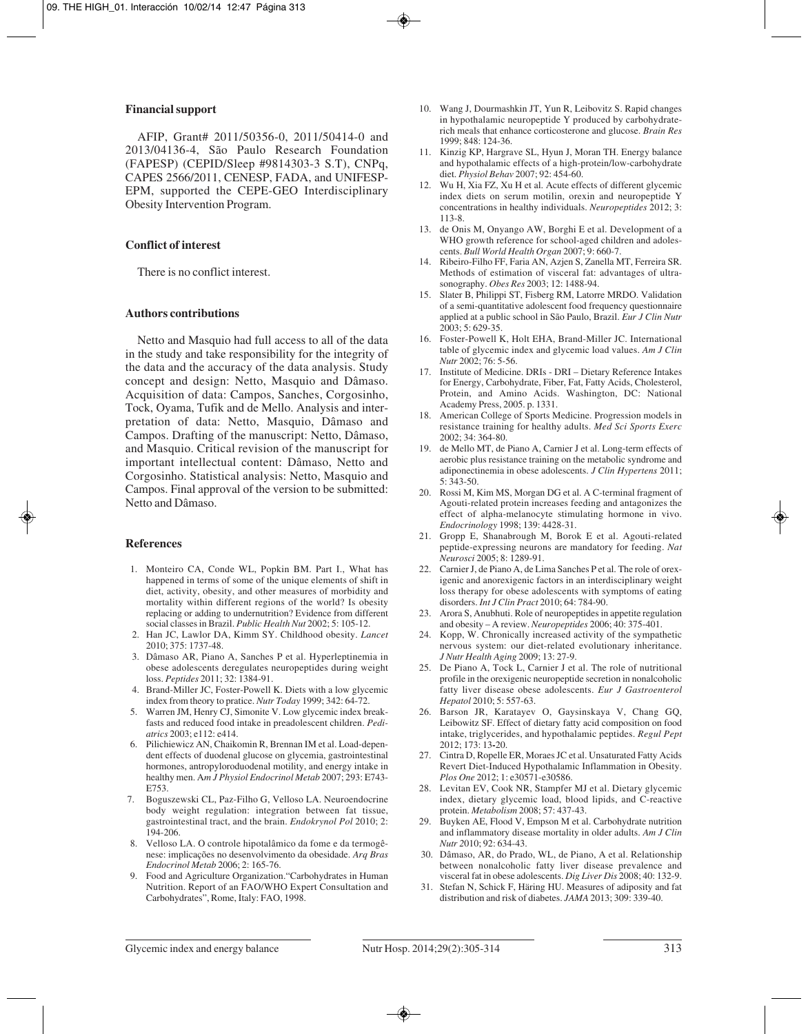#### **Financial support**

AFIP, Grant# 2011/50356-0, 2011/50414-0 and 2013/04136-4, São Paulo Research Foundation (FAPESP) (CEPID/Sleep #9814303-3 S.T), CNPq, CAPES 2566/2011, CENESP, FADA, and UNIFESP-EPM, supported the CEPE-GEO Interdisciplinary Obesity Intervention Program.

#### **Conflict of interest**

There is no conflict interest.

#### **Authors contributions**

Netto and Masquio had full access to all of the data in the study and take responsibility for the integrity of the data and the accuracy of the data analysis. Study concept and design: Netto, Masquio and Dâmaso. Acquisition of data: Campos, Sanches, Corgosinho, Tock, Oyama, Tufik and de Mello. Analysis and interpretation of data: Netto, Masquio, Dâmaso and Campos. Drafting of the manuscript: Netto, Dâmaso, and Masquio. Critical revision of the manuscript for important intellectual content: Dâmaso, Netto and Corgosinho. Statistical analysis: Netto, Masquio and Campos. Final approval of the version to be submitted: Netto and Dâmaso.

#### **References**

- 1. Monteiro CA, Conde WL, Popkin BM. Part I., What has happened in terms of some of the unique elements of shift in diet, activity, obesity, and other measures of morbidity and mortality within different regions of the world? Is obesity replacing or adding to undernutrition? Evidence from different social classes in Brazil. *Public Health Nut* 2002; 5: 105-12.
- 2. Han JC, Lawlor DA, Kimm SY. Childhood obesity. *Lancet* 2010; 375: 1737-48.
- 3. Dâmaso AR, Piano A, Sanches P et al. Hyperleptinemia in obese adolescents deregulates neuropeptides during weight loss. *Peptides* 2011; 32: 1384-91.
- 4. Brand-Miller JC, Foster-Powell K. Diets with a low glycemic index from theory to pratice. *Nutr Today* 1999; 342: 64-72.
- 5. Warren JM, Henry CJ, Simonite V. Low glycemic index breakfasts and reduced food intake in preadolescent children. *Pediatrics* 2003; e112: e414.
- 6. Pilichiewicz AN, Chaikomin R, Brennan IM et al. Load-dependent effects of duodenal glucose on glycemia, gastrointestinal hormones, antropyloroduodenal motility, and energy intake in healthy men. A*m J Physiol Endocrinol Metab* 2007; 293: E743- E753.
- 7. Boguszewski CL, Paz-Filho G, Velloso LA. Neuroendocrine body weight regulation: integration between fat tissue, gastrointestinal tract, and the brain. *Endokrynol Pol* 2010; 2: 194-206.
- 8. Velloso LA. O controle hipotalâmico da fome e da termogênese: implicações no desenvolvimento da obesidade. *Arq Bras Endocrinol Metab* 2006; 2: 165-76.
- 9. Food and Agriculture Organization."Carbohydrates in Human Nutrition. Report of an FAO/WHO Expert Consultation and Carbohydrates", Rome, Italy: FAO, 1998.
- 10. Wang J, Dourmashkin JT, Yun R, Leibovitz S. Rapid changes in hypothalamic neuropeptide Y produced by carbohydraterich meals that enhance corticosterone and glucose. *Brain Res* 1999; 848: 124-36.
- 11. Kinzig KP, Hargrave SL, Hyun J, Moran TH. Energy balance and hypothalamic effects of a high-protein/low-carbohydrate diet. *Physiol Behav* 2007; 92: 454-60.
- 12. Wu H, Xia FZ, Xu H et al. Acute effects of different glycemic index diets on serum motilin, orexin and neuropeptide Y concentrations in healthy individuals. *Neuropeptides* 2012; 3: 113-8.
- 13. de Onis M, Onyango AW, Borghi E et al. Development of a WHO growth reference for school-aged children and adolescents. *Bull World Health Organ* 2007; 9: 660-7.
- 14. Ribeiro-Filho FF, Faria AN, Azjen S, Zanella MT, Ferreira SR. Methods of estimation of visceral fat: advantages of ultrasonography. *Obes Res* 2003; 12: 1488-94.
- 15. Slater B, Philippi ST, Fisberg RM, Latorre MRDO. Validation of a semi-quantitative adolescent food frequency questionnaire applied at a public school in São Paulo, Brazil. *Eur J Clin Nutr* 2003; 5: 629-35.
- 16. Foster-Powell K, Holt EHA, Brand-Miller JC. International table of glycemic index and glycemic load values. *Am J Clin Nutr* 2002; 76: 5-56.
- 17. Institute of Medicine. DRIs DRI Dietary Reference Intakes for Energy, Carbohydrate, Fiber, Fat, Fatty Acids, Cholesterol, Protein, and Amino Acids. Washington, DC: National Academy Press, 2005. p. 1331.
- 18. American College of Sports Medicine. Progression models in resistance training for healthy adults. *Med Sci Sports Exerc* 2002; 34: 364-80.
- 19. de Mello MT, de Piano A, Carnier J et al. Long-term effects of aerobic plus resistance training on the metabolic syndrome and adiponectinemia in obese adolescents. *J Clin Hypertens* 2011; 5: 343-50.
- 20. Rossi M, Kim MS, Morgan DG et al. A C-terminal fragment of Agouti-related protein increases feeding and antagonizes the effect of alpha-melanocyte stimulating hormone in vivo. *Endocrinology* 1998; 139: 4428-31.
- 21. Gropp E, Shanabrough M, Borok E et al. Agouti-related peptide-expressing neurons are mandatory for feeding. *Nat Neurosci* 2005; 8: 1289-91.
- 22. Carnier J, de Piano A, de Lima Sanches P et al. The role of orexigenic and anorexigenic factors in an interdisciplinary weight loss therapy for obese adolescents with symptoms of eating disorders. *Int J Clin Pract* 2010; 64: 784-90.
- 23. Arora S, Anubhuti. Role of neuropeptides in appetite regulation and obesity – A review. *Neuropeptides* 2006; 40: 375-401.
- 24. Kopp, W. Chronically increased activity of the sympathetic nervous system: our diet-related evolutionary inheritance. *J Nutr Health Aging* 2009; 13: 27-9.
- 25. De Piano A, Tock L, Carnier J et al. The role of nutritional profile in the orexigenic neuropeptide secretion in nonalcoholic fatty liver disease obese adolescents. *Eur J Gastroenterol Hepatol* 2010; 5: 557-63.
- 26. Barson JR, Karatayev O, Gaysinskaya V, Chang GQ, Leibowitz SF. Effect of dietary fatty acid composition on food intake, triglycerides, and hypothalamic peptides. *Regul Pept* 2012; 173: 13**-**20.
- 27. Cintra D, Ropelle ER, Moraes JC et al. Unsaturated Fatty Acids Revert Diet-Induced Hypothalamic Inflammation in Obesity. *Plos One* 2012; 1: e30571-e30586.
- 28. Levitan EV, Cook NR, Stampfer MJ et al. Dietary glycemic index, dietary glycemic load, blood lipids, and C-reactive protein. *Metabolism* 2008; 57: 437-43.
- 29. Buyken AE, Flood V, Empson M et al. Carbohydrate nutrition and inflammatory disease mortality in older adults. *Am J Clin Nutr 2*010; 92: 634-43.
- 30. Dâmaso, AR, do Prado, WL, de Piano, A et al. Relationship between nonalcoholic fatty liver disease prevalence and visceral fat in obese adolescents. *Dig Liver Dis* 2008; 40: 132-9.
- 31. Stefan N, Schick F, Häring HU. Measures of adiposity and fat distribution and risk of diabetes. *JAMA* 2013; 309: 339-40.